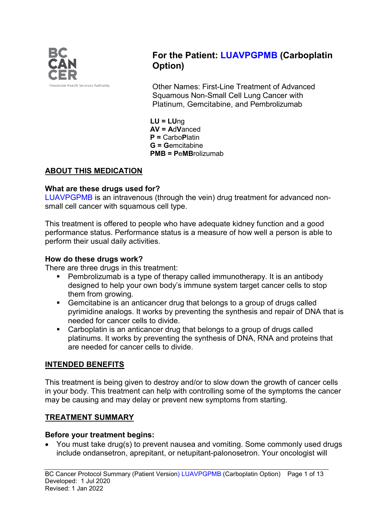

# **For the Patient: LUAVPGPMB (Carboplatin Option)**

Other Names: First-Line Treatment of Advanced Squamous Non-Small Cell Lung Cancer with Platinum, Gemcitabine, and Pembrolizumab

**LU = LU**ng **AV = A**d**V**anced **P =** Carbo**P**latin **G = G**emcitabine **PMB = P**e**MB**rolizumab

## **ABOUT THIS MEDICATION**

#### **What are these drugs used for?**

LUAVPGPMB is an intravenous (through the vein) drug treatment for advanced nonsmall cell cancer with squamous cell type.

This treatment is offered to people who have adequate kidney function and a good performance status. Performance status is a measure of how well a person is able to perform their usual daily activities.

#### **How do these drugs work?**

There are three drugs in this treatment:

- Pembrolizumab is a type of therapy called immunotherapy. It is an antibody designed to help your own body's immune system target cancer cells to stop them from growing.
- Gemcitabine is an anticancer drug that belongs to a group of drugs called pyrimidine analogs. It works by preventing the synthesis and repair of DNA that is needed for cancer cells to divide.
- Carboplatin is an anticancer drug that belongs to a group of drugs called platinums. It works by preventing the synthesis of DNA, RNA and proteins that are needed for cancer cells to divide.

### **INTENDED BENEFITS**

This treatment is being given to destroy and/or to slow down the growth of cancer cells in your body. This treatment can help with controlling some of the symptoms the cancer may be causing and may delay or prevent new symptoms from starting.

### **TREATMENT SUMMARY**

#### **Before your treatment begins:**

• You must take drug(s) to prevent nausea and vomiting. Some commonly used drugs include ondansetron, aprepitant, or netupitant-palonosetron. Your oncologist will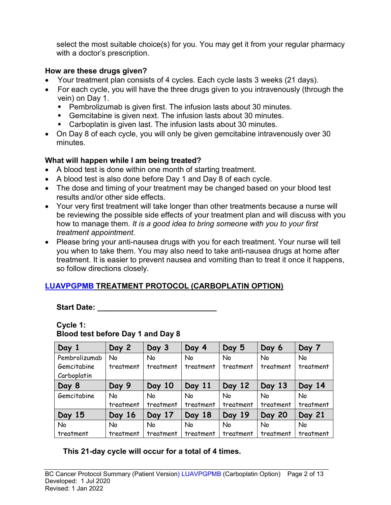select the most suitable choice(s) for you. You may get it from your regular pharmacy with a doctor's prescription.

### **How are these drugs given?**

- Your treatment plan consists of 4 cycles. Each cycle lasts 3 weeks (21 days).
- For each cycle, you will have the three drugs given to you intravenously (through the vein) on Day 1.
	- Pembrolizumab is given first. The infusion lasts about 30 minutes.
	- Gemcitabine is given next. The infusion lasts about 30 minutes.
	- Carboplatin is given last. The infusion lasts about 30 minutes.
- On Day 8 of each cycle, you will only be given gemcitabine intravenously over 30 minutes.

### **What will happen while I am being treated?**

- A blood test is done within one month of starting treatment.
- A blood test is also done before Day 1 and Day 8 of each cycle.
- The dose and timing of your treatment may be changed based on your blood test results and/or other side effects.
- Your very first treatment will take longer than other treatments because a nurse will be reviewing the possible side effects of your treatment plan and will discuss with you how to manage them. *It is a good idea to bring someone with you to your first treatment appointment*.
- Please bring your anti-nausea drugs with you for each treatment. Your nurse will tell you when to take them. You may also need to take anti-nausea drugs at home after treatment. It is easier to prevent nausea and vomiting than to treat it once it happens, so follow directions closely.

## **LUAVPGPMB TREATMENT PROTOCOL (CARBOPLATIN OPTION)**

Start Date:

### **Cycle 1: Blood test before Day 1 and Day 8**

| Day 1         | Day 2     | Day 3     | Day 4     | Day 5     | Day 6         | Day 7     |
|---------------|-----------|-----------|-----------|-----------|---------------|-----------|
| Pembrolizumab | No        | <b>No</b> | No        | No        | No            | No        |
| Gemcitabine   | treatment | treatment | treatment | treatment | treatment     | treatment |
| Carboplatin   |           |           |           |           |               |           |
| Day 8         | Day 9     | Day 10    | Day 11    | Day 12    | Day 13        | Day 14    |
| Gemcitabine   | No        | No        | No        | No        | <b>No</b>     | <b>No</b> |
|               | treatment | treatment | treatment | treatment | treatment     | treatment |
| Day 15        | Day 16    | Day 17    | Day 18    | Day 19    | <b>Day 20</b> | Day 21    |
| <b>No</b>     | <b>No</b> | No        | No        | <b>No</b> | <b>No</b>     | <b>No</b> |
| treatment     | treatment | treatment | treatment | treatment | treatment     | treatment |

**This 21-day cycle will occur for a total of 4 times.**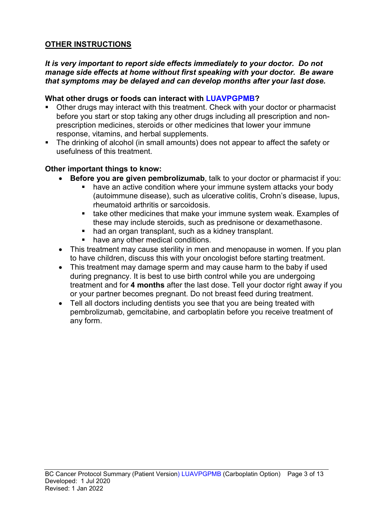### **OTHER INSTRUCTIONS**

#### *It is very important to report side effects immediately to your doctor. Do not manage side effects at home without first speaking with your doctor. Be aware that symptoms may be delayed and can develop months after your last dose.*

#### **What other drugs or foods can interact with LUAVPGPMB?**

- Other drugs may interact with this treatment. Check with your doctor or pharmacist before you start or stop taking any other drugs including all prescription and nonprescription medicines, steroids or other medicines that lower your immune response, vitamins, and herbal supplements.
- The drinking of alcohol (in small amounts) does not appear to affect the safety or usefulness of this treatment.

#### **Other important things to know:**

- **Before you are given pembrolizumab**, talk to your doctor or pharmacist if you:
	- have an active condition where your immune system attacks your body (autoimmune disease), such as ulcerative colitis, Crohn's disease, lupus, rheumatoid arthritis or sarcoidosis.
	- **take other medicines that make your immune system weak. Examples of** these may include steroids, such as prednisone or dexamethasone.
	- had an organ transplant, such as a kidney transplant.
	- **have any other medical conditions.**
- This treatment may cause sterility in men and menopause in women. If you plan to have children, discuss this with your oncologist before starting treatment.
- This treatment may damage sperm and may cause harm to the baby if used during pregnancy. It is best to use birth control while you are undergoing treatment and for **4 months** after the last dose. Tell your doctor right away if you or your partner becomes pregnant. Do not breast feed during treatment.
- Tell all doctors including dentists you see that you are being treated with pembrolizumab, gemcitabine, and carboplatin before you receive treatment of any form.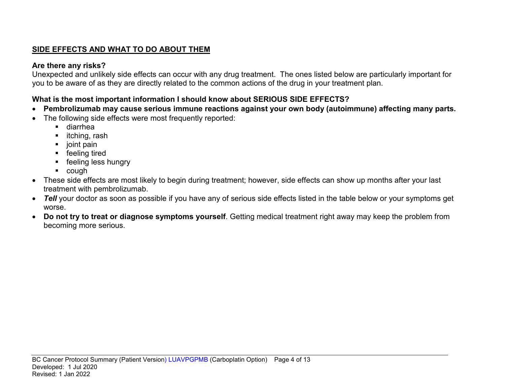## **SIDE EFFECTS AND WHAT TO DO ABOUT THEM**

### **Are there any risks?**

Unexpected and unlikely side effects can occur with any drug treatment. The ones listed below are particularly important for you to be aware of as they are directly related to the common actions of the drug in your treatment plan.

## **What is the most important information I should know about SERIOUS SIDE EFFECTS?**

- **Pembrolizumab may cause serious immune reactions against your own body (autoimmune) affecting many parts.**
- The following side effects were most frequently reported:
	- diarrhea
	- $\blacksquare$  itching, rash
	- $\blacksquare$  joint pain
	- **F** feeling tired
	- **F** feeling less hungry
	- cough
- These side effects are most likely to begin during treatment; however, side effects can show up months after your last treatment with pembrolizumab.
- *Tell* your doctor as soon as possible if you have any of serious side effects listed in the table below or your symptoms get worse.
- **Do not try to treat or diagnose symptoms yourself**. Getting medical treatment right away may keep the problem from becoming more serious.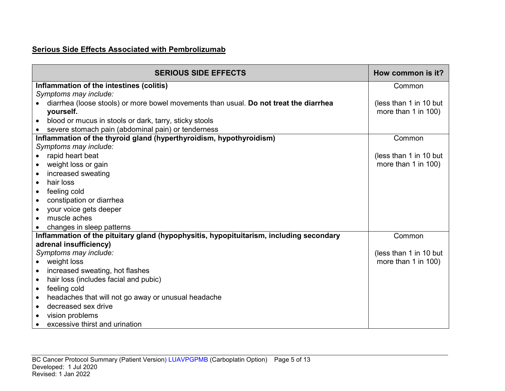### **Serious Side Effects Associated with Pembrolizumab**

| <b>SERIOUS SIDE EFFECTS</b>                                                             | How common is it?      |
|-----------------------------------------------------------------------------------------|------------------------|
| Inflammation of the intestines (colitis)                                                | Common                 |
| Symptoms may include:                                                                   |                        |
| diarrhea (loose stools) or more bowel movements than usual. Do not treat the diarrhea   | (less than 1 in 10 but |
| yourself.                                                                               | more than 1 in 100)    |
| blood or mucus in stools or dark, tarry, sticky stools<br>$\bullet$                     |                        |
| severe stomach pain (abdominal pain) or tenderness                                      |                        |
| Inflammation of the thyroid gland (hyperthyroidism, hypothyroidism)                     | Common                 |
| Symptoms may include:                                                                   |                        |
| rapid heart beat                                                                        | (less than 1 in 10 but |
| weight loss or gain<br>$\bullet$                                                        | more than 1 in 100)    |
| increased sweating<br>$\bullet$                                                         |                        |
| hair loss<br>$\bullet$                                                                  |                        |
| feeling cold<br>$\bullet$                                                               |                        |
| constipation or diarrhea<br>$\bullet$                                                   |                        |
| your voice gets deeper<br>$\bullet$                                                     |                        |
| muscle aches                                                                            |                        |
| changes in sleep patterns                                                               |                        |
| Inflammation of the pituitary gland (hypophysitis, hypopituitarism, including secondary | Common                 |
| adrenal insufficiency)                                                                  |                        |
| Symptoms may include:                                                                   | (less than 1 in 10 but |
| weight loss                                                                             | more than 1 in 100)    |
| increased sweating, hot flashes<br>$\bullet$                                            |                        |
| hair loss (includes facial and pubic)<br>$\bullet$                                      |                        |
| feeling cold<br>$\bullet$                                                               |                        |
| headaches that will not go away or unusual headache<br>$\bullet$                        |                        |
| decreased sex drive<br>$\bullet$                                                        |                        |
| vision problems                                                                         |                        |
| excessive thirst and urination                                                          |                        |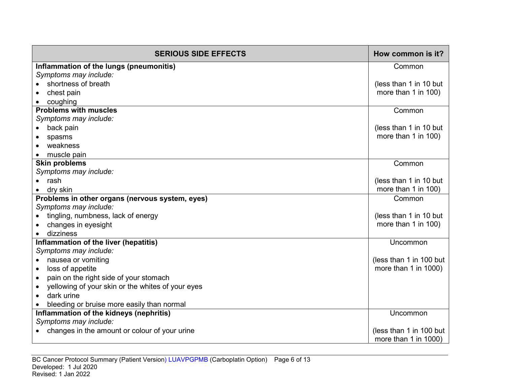| <b>SERIOUS SIDE EFFECTS</b>                                    | How common is it?       |
|----------------------------------------------------------------|-------------------------|
| Inflammation of the lungs (pneumonitis)                        | Common                  |
| Symptoms may include:                                          |                         |
| shortness of breath                                            | (less than 1 in 10 but  |
| chest pain                                                     | more than 1 in 100)     |
| coughing                                                       |                         |
| <b>Problems with muscles</b>                                   | Common                  |
| Symptoms may include:                                          |                         |
| back pain                                                      | (less than 1 in 10 but  |
| spasms                                                         | more than 1 in 100)     |
| weakness                                                       |                         |
| muscle pain                                                    |                         |
| <b>Skin problems</b>                                           | Common                  |
| Symptoms may include:                                          |                         |
| rash                                                           | (less than 1 in 10 but  |
| dry skin                                                       | more than 1 in 100)     |
| Problems in other organs (nervous system, eyes)                | Common                  |
| Symptoms may include:                                          |                         |
| tingling, numbness, lack of energy                             | (less than 1 in 10 but  |
| changes in eyesight                                            | more than 1 in 100)     |
| dizziness                                                      |                         |
| Inflammation of the liver (hepatitis)                          | Uncommon                |
| Symptoms may include:                                          |                         |
| nausea or vomiting<br>$\bullet$                                | (less than 1 in 100 but |
| loss of appetite<br>$\bullet$                                  | more than 1 in 1000)    |
| pain on the right side of your stomach<br>$\bullet$            |                         |
| yellowing of your skin or the whites of your eyes<br>$\bullet$ |                         |
| dark urine                                                     |                         |
| bleeding or bruise more easily than normal                     |                         |
| Inflammation of the kidneys (nephritis)                        | Uncommon                |
| Symptoms may include:                                          |                         |
| changes in the amount or colour of your urine                  | (less than 1 in 100 but |
|                                                                | more than 1 in 1000)    |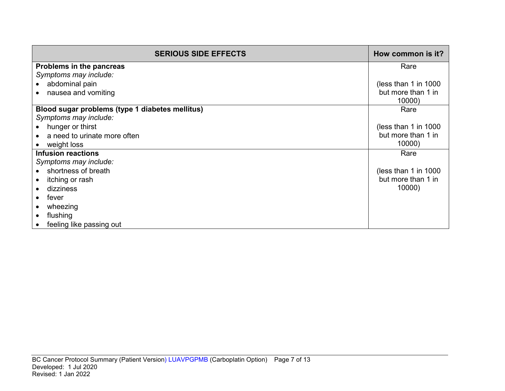| <b>SERIOUS SIDE EFFECTS</b>                     | How common is it?    |
|-------------------------------------------------|----------------------|
| Problems in the pancreas                        | Rare                 |
| Symptoms may include:                           |                      |
| abdominal pain                                  | (less than 1 in 1000 |
| nausea and vomiting                             | but more than 1 in   |
|                                                 | 10000)               |
| Blood sugar problems (type 1 diabetes mellitus) | Rare                 |
| Symptoms may include:                           |                      |
| hunger or thirst                                | (less than 1 in 1000 |
| a need to urinate more often                    | but more than 1 in   |
| weight loss                                     | 10000)               |
| <b>Infusion reactions</b>                       | Rare                 |
| Symptoms may include:                           |                      |
| shortness of breath                             | (less than 1 in 1000 |
| itching or rash                                 | but more than 1 in   |
| dizziness                                       | 10000)               |
| fever                                           |                      |
| wheezing                                        |                      |
| flushing                                        |                      |
| feeling like passing out                        |                      |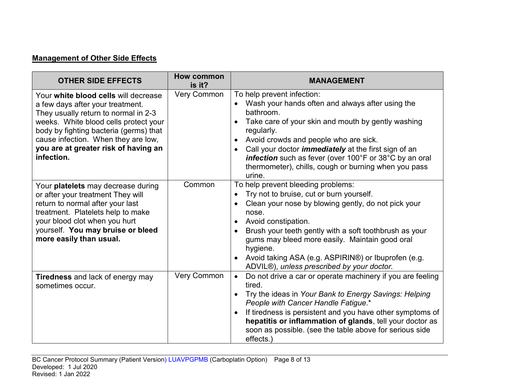## **Management of Other Side Effects**

| <b>OTHER SIDE EFFECTS</b>                                                                                                                                                                                                                                                                        | How common<br>is it? | <b>MANAGEMENT</b>                                                                                                                                                                                                                                                                                                                                                                                                             |
|--------------------------------------------------------------------------------------------------------------------------------------------------------------------------------------------------------------------------------------------------------------------------------------------------|----------------------|-------------------------------------------------------------------------------------------------------------------------------------------------------------------------------------------------------------------------------------------------------------------------------------------------------------------------------------------------------------------------------------------------------------------------------|
| Your white blood cells will decrease<br>a few days after your treatment.<br>They usually return to normal in 2-3<br>weeks. White blood cells protect your<br>body by fighting bacteria (germs) that<br>cause infection. When they are low,<br>you are at greater risk of having an<br>infection. | <b>Very Common</b>   | To help prevent infection:<br>Wash your hands often and always after using the<br>bathroom.<br>Take care of your skin and mouth by gently washing<br>regularly.<br>Avoid crowds and people who are sick.<br>$\bullet$<br>Call your doctor <i>immediately</i> at the first sign of an<br>$\bullet$<br>infection such as fever (over 100°F or 38°C by an oral<br>thermometer), chills, cough or burning when you pass<br>urine. |
| Your <b>platelets</b> may decrease during<br>or after your treatment They will<br>return to normal after your last<br>treatment. Platelets help to make<br>your blood clot when you hurt<br>yourself. You may bruise or bleed<br>more easily than usual.                                         | Common               | To help prevent bleeding problems:<br>Try not to bruise, cut or burn yourself.<br>Clean your nose by blowing gently, do not pick your<br>nose.<br>Avoid constipation.<br>$\bullet$<br>Brush your teeth gently with a soft toothbrush as your<br>gums may bleed more easily. Maintain good oral<br>hygiene.<br>Avoid taking ASA (e.g. ASPIRIN®) or Ibuprofen (e.g.<br>ADVIL®), unless prescribed by your doctor.               |
| <b>Tiredness</b> and lack of energy may<br>sometimes occur.                                                                                                                                                                                                                                      | <b>Very Common</b>   | Do not drive a car or operate machinery if you are feeling<br>$\bullet$<br>tired.<br>Try the ideas in Your Bank to Energy Savings: Helping<br>$\bullet$<br>People with Cancer Handle Fatigue.*<br>If tiredness is persistent and you have other symptoms of<br>hepatitis or inflammation of glands, tell your doctor as<br>soon as possible. (see the table above for serious side<br>effects.)                               |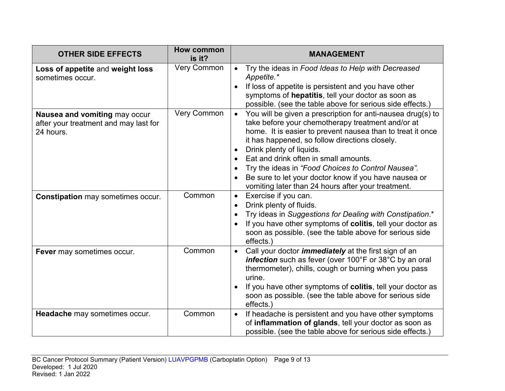| <b>OTHER SIDE EFFECTS</b>                                                           | <b>How common</b><br>is it? | <b>MANAGEMENT</b>                                                                                                                                                                                                                                                                                                                                                                                                                                                                       |
|-------------------------------------------------------------------------------------|-----------------------------|-----------------------------------------------------------------------------------------------------------------------------------------------------------------------------------------------------------------------------------------------------------------------------------------------------------------------------------------------------------------------------------------------------------------------------------------------------------------------------------------|
| Loss of appetite and weight loss<br>sometimes occur.                                | <b>Very Common</b>          | Try the ideas in Food Ideas to Help with Decreased<br>Appetite.*<br>If loss of appetite is persistent and you have other<br>symptoms of hepatitis, tell your doctor as soon as<br>possible. (see the table above for serious side effects.)                                                                                                                                                                                                                                             |
| Nausea and vomiting may occur<br>after your treatment and may last for<br>24 hours. | Very Common                 | You will be given a prescription for anti-nausea drug(s) to<br>$\bullet$<br>take before your chemotherapy treatment and/or at<br>home. It is easier to prevent nausea than to treat it once<br>it has happened, so follow directions closely.<br>Drink plenty of liquids.<br>Eat and drink often in small amounts.<br>Try the ideas in "Food Choices to Control Nausea".<br>Be sure to let your doctor know if you have nausea or<br>vomiting later than 24 hours after your treatment. |
| <b>Constipation may sometimes occur.</b>                                            | Common                      | Exercise if you can.<br>$\bullet$<br>Drink plenty of fluids.<br>Try ideas in Suggestions for Dealing with Constipation.*<br>If you have other symptoms of colitis, tell your doctor as<br>soon as possible. (see the table above for serious side<br>effects.)                                                                                                                                                                                                                          |
| Fever may sometimes occur.                                                          | Common                      | Call your doctor <i>immediately</i> at the first sign of an<br>$\bullet$<br>infection such as fever (over 100°F or 38°C by an oral<br>thermometer), chills, cough or burning when you pass<br>urine.<br>If you have other symptoms of colitis, tell your doctor as<br>soon as possible. (see the table above for serious side<br>effects.)                                                                                                                                              |
| Headache may sometimes occur.                                                       | Common                      | If headache is persistent and you have other symptoms<br>$\bullet$<br>of inflammation of glands, tell your doctor as soon as<br>possible. (see the table above for serious side effects.)                                                                                                                                                                                                                                                                                               |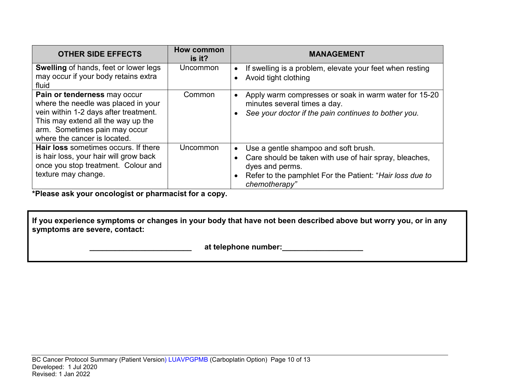| <b>OTHER SIDE EFFECTS</b>                                                                                                                                                                                           | <b>How common</b><br>is it? | <b>MANAGEMENT</b>                                                                                                                                                                                           |
|---------------------------------------------------------------------------------------------------------------------------------------------------------------------------------------------------------------------|-----------------------------|-------------------------------------------------------------------------------------------------------------------------------------------------------------------------------------------------------------|
| <b>Swelling of hands, feet or lower legs</b><br>may occur if your body retains extra<br>fluid                                                                                                                       | Uncommon                    | If swelling is a problem, elevate your feet when resting<br>Avoid tight clothing                                                                                                                            |
| Pain or tenderness may occur<br>where the needle was placed in your<br>vein within 1-2 days after treatment.<br>This may extend all the way up the<br>arm. Sometimes pain may occur<br>where the cancer is located. | Common                      | Apply warm compresses or soak in warm water for 15-20<br>minutes several times a day.<br>See your doctor if the pain continues to bother you.                                                               |
| <b>Hair loss</b> sometimes occurs. If there<br>is hair loss, your hair will grow back<br>once you stop treatment. Colour and<br>texture may change.                                                                 | Uncommon                    | Use a gentle shampoo and soft brush.<br>$\bullet$<br>Care should be taken with use of hair spray, bleaches,<br>dyes and perms.<br>Refer to the pamphlet For the Patient: "Hair loss due to<br>chemotherapy" |

**\*Please ask your oncologist or pharmacist for a copy.**

**If you experience symptoms or changes in your body that have not been described above but worry you, or in any symptoms are severe, contact:**

 **\_\_\_\_\_\_\_\_\_\_\_\_\_\_\_\_\_\_\_\_\_\_\_\_ at telephone number:\_\_\_\_\_\_\_\_\_\_\_\_\_\_\_\_\_\_\_**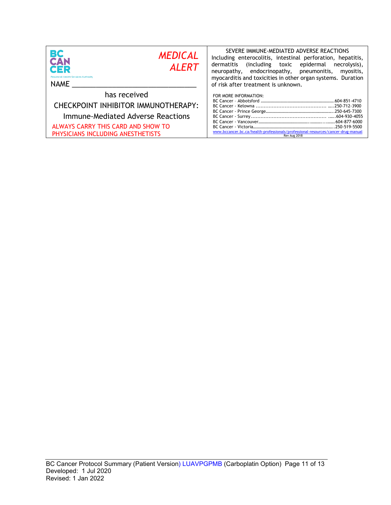| BС<br><b>MEDICAL</b><br>CAN<br><b>ALERT</b><br>CER<br><b>Provincial Health Services Authority</b><br><b>NAME</b>                                                    | SEVERE IMMUNE-MEDIATED ADVERSE REACTIONS<br>Including enterocolitis, intestinal perforation, hepatitis,<br>dermatitis<br>including toxic epidermal)<br>necrolysis),<br>neuropathy, endocrinopathy, pneumonitis,<br>myositis,<br>myocarditis and toxicities in other organ systems. Duration<br>of risk after treatment is unknown. |
|---------------------------------------------------------------------------------------------------------------------------------------------------------------------|------------------------------------------------------------------------------------------------------------------------------------------------------------------------------------------------------------------------------------------------------------------------------------------------------------------------------------|
| has received<br>CHECKPOINT INHIBITOR IMMUNOTHERAPY:<br>Immune-Mediated Adverse Reactions<br>ALWAYS CARRY THIS CARD AND SHOW TO<br>PHYSICIANS INCLUDING ANESTHETISTS | FOR MORE INFORMATION:<br>www.bccancer.bc.ca/health-professionals/professional-resources/cancer-drug-manual<br>Rev Aug 2018                                                                                                                                                                                                         |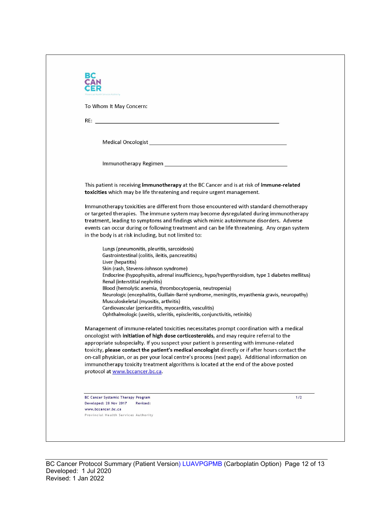| incial Health Services Authority                                                                                                                                                                                                     |     |
|--------------------------------------------------------------------------------------------------------------------------------------------------------------------------------------------------------------------------------------|-----|
| To Whom It May Concern:                                                                                                                                                                                                              |     |
| RE: <b>All and the contract of the contract of the contract of the contract of the contract of the contract of the contract of the contract of the contract of the contract of the contract of the contract of the contract of t</b> |     |
|                                                                                                                                                                                                                                      |     |
|                                                                                                                                                                                                                                      |     |
|                                                                                                                                                                                                                                      |     |
|                                                                                                                                                                                                                                      |     |
| This patient is receiving <b>immunotherapy</b> at the BC Cancer and is at risk of <b>immune-related</b><br>toxicities which may be life threatening and require urgent management.                                                   |     |
| Immunotherapy toxicities are different from those encountered with standard chemotherapy                                                                                                                                             |     |
| or targeted therapies. The immune system may become dysregulated during immunotherapy                                                                                                                                                |     |
| treatment, leading to symptoms and findings which mimic autoimmune disorders. Adverse<br>events can occur during or following treatment and can be life threatening. Any organ system                                                |     |
| in the body is at risk including, but not limited to:                                                                                                                                                                                |     |
| Lungs (pneumonitis, pleuritis, sarcoidosis)                                                                                                                                                                                          |     |
| Gastrointestinal (colitis, ileitis, pancreatitis)                                                                                                                                                                                    |     |
| Liver (hepatitis)<br>Skin (rash, Stevens-Johnson syndrome)                                                                                                                                                                           |     |
| Endocrine (hypophysitis, adrenal insufficiency, hypo/hyperthyroidism, type 1 diabetes mellitus)<br>Renal (interstitial nephritis)                                                                                                    |     |
| Blood (hemolytic anemia, thrombocytopenia, neutropenia)                                                                                                                                                                              |     |
| Neurologic (encephalitis, Guillain-Barré syndrome, meningitis, myasthenia gravis, neuropathy)                                                                                                                                        |     |
| Musculoskeletal (myositis, arthritis)<br>Cardiovascular (pericarditis, myocarditis, vasculitis)                                                                                                                                      |     |
| Ophthalmologic (uveitis, scleritis, episcleritis, conjunctivitis, retinitis)                                                                                                                                                         |     |
| Management of immune-related toxicities necessitates prompt coordination with a medical<br>oncologist with initiation of high dose corticosteroids, and may require referral to the                                                  |     |
| appropriate subspecialty. If you suspect your patient is presenting with immune-related                                                                                                                                              |     |
| toxicity, please contact the patient's medical oncologist directly or if after hours contact the<br>on-call physician, or as per your local centre's process (next page). Additional information on                                  |     |
| immunotherapy toxicity treatment algorithms is located at the end of the above posted                                                                                                                                                |     |
| protocol at www.bccancer.bc.ca.                                                                                                                                                                                                      |     |
|                                                                                                                                                                                                                                      |     |
| <b>BC Cancer Systemic Therapy Program</b>                                                                                                                                                                                            | 1/2 |
| Developed: 28 Nov 2017<br>Revised:                                                                                                                                                                                                   |     |